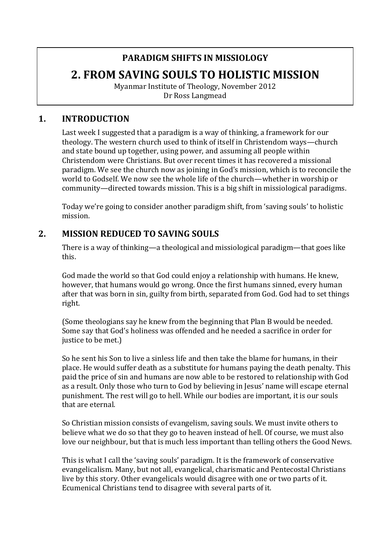# **PARADIGM SHIFTS IN MISSIOLOGY 2. FROM SAVING SOULS TO HOLISTIC MISSION**

Myanmar Institute of Theology, November 2012 Dr Ross Langmead

### **1. INTRODUCTION**

Last week I suggested that a paradigm is a way of thinking, a framework for our theology. The western church used to think of itself in Christendom ways—church and state bound up together, using power, and assuming all people within Christendom were Christians. But over recent times it has recovered a missional paradigm. We see the church now as joining in God's mission, which is to reconcile the world to Godself. We now see the whole life of the church—whether in worship or community—directed towards mission. This is a big shift in missiological paradigms.

Today we're going to consider another paradigm shift, from 'saving souls' to holistic mission.

### **2. MISSION REDUCED TO SAVING SOULS**

There is a way of thinking—a theological and missiological paradigm—that goes like this.

God made the world so that God could enjoy a relationship with humans. He knew, however, that humans would go wrong. Once the first humans sinned, every human after that was born in sin, guilty from birth, separated from God. God had to set things right.

(Some theologians say he knew from the beginning that Plan B would be needed. Some say that God's holiness was offended and he needed a sacrifice in order for justice to be met.)

So he sent his Son to live a sinless life and then take the blame for humans, in their place. He would suffer death as a substitute for humans paying the death penalty. This paid the price of sin and humans are now able to be restored to relationship with God as a result. Only those who turn to God by believing in Jesus' name will escape eternal punishment. The rest will go to hell. While our bodies are important, it is our souls that are eternal.

So Christian mission consists of evangelism, saving souls. We must invite others to believe what we do so that they go to heaven instead of hell. Of course, we must also love our neighbour, but that is much less important than telling others the Good News.

This is what I call the 'saving souls' paradigm. It is the framework of conservative evangelicalism. Many, but not all, evangelical, charismatic and Pentecostal Christians live by this story. Other evangelicals would disagree with one or two parts of it. Ecumenical Christians tend to disagree with several parts of it.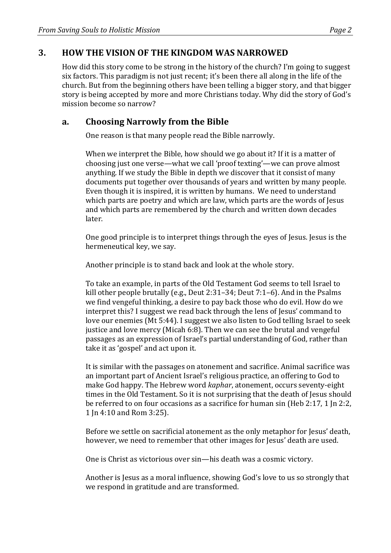### **3. HOW THE VISION OF THE KINGDOM WAS NARROWED**

How did this story come to be strong in the history of the church? I'm going to suggest six factors. This paradigm is not just recent; it's been there all along in the life of the church. But from the beginning others have been telling a bigger story, and that bigger story is being accepted by more and more Christians today. Why did the story of God's mission become so narrow?

### **a. Choosing Narrowly from the Bible**

One reason is that many people read the Bible narrowly.

When we interpret the Bible, how should we go about it? If it is a matter of choosing just one verse—what we call 'proof texting'—we can prove almost anything. If we study the Bible in depth we discover that it consist of many documents put together over thousands of years and written by many people. Even though it is inspired, it is written by humans. We need to understand which parts are poetry and which are law, which parts are the words of Jesus and which parts are remembered by the church and written down decades later.

One good principle is to interpret things through the eyes of Jesus. Jesus is the hermeneutical key, we say.

Another principle is to stand back and look at the whole story.

To take an example, in parts of the Old Testament God seems to tell Israel to kill other people brutally (e.g., Deut  $2:31-34$ ; Deut  $7:1-6$ ). And in the Psalms we find vengeful thinking, a desire to pay back those who do evil. How do we interpret this? I suggest we read back through the lens of Jesus' command to love our enemies (Mt 5:44). I suggest we also listen to God telling Israel to seek justice and love mercy (Micah 6:8). Then we can see the brutal and vengeful passages as an expression of Israel's partial understanding of God, rather than take it as 'gospel' and act upon it.

It is similar with the passages on atonement and sacrifice. Animal sacrifice was an important part of Ancient Israel's religious practice, an offering to God to make God happy. The Hebrew word *kaphar*, atonement, occurs seventy-eight times in the Old Testament. So it is not surprising that the death of Jesus should be referred to on four occasions as a sacrifice for human  $sin$  (Heb 2:17, 1  $ln$  2:2, 1 In 4:10 and Rom 3:25).

Before we settle on sacrificial atonement as the only metaphor for Jesus' death, however, we need to remember that other images for Jesus' death are used.

One is Christ as victorious over sin—his death was a cosmic victory.

Another is Jesus as a moral influence, showing God's love to us so strongly that we respond in gratitude and are transformed.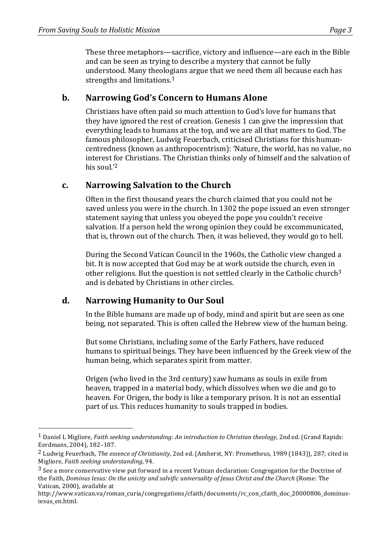These three metaphors—sacrifice, victory and influence—are each in the Bible and can be seen as trying to describe a mystery that cannot be fully understood. Many theologians argue that we need them all because each has strengths and limitations. $1$ 

### **b. Narrowing God's Concern to Humans Alone**

Christians have often paid so much attention to God's love for humans that they have ignored the rest of creation. Genesis 1 can give the impression that everything leads to humans at the top, and we are all that matters to God. The famous philosopher, Ludwig Feuerbach, criticised Christians for this humancentredness (known as anthropocentrism): 'Nature, the world, has no value, no interest for Christians. The Christian thinks only of himself and the salvation of his soul.'<sup>2</sup>

### **c. Narrowing Salvation to the Church**

Often in the first thousand years the church claimed that you could not be saved unless you were in the church. In 1302 the pope issued an even stronger statement saying that unless you obeyed the pope you couldn't receive salvation. If a person held the wrong opinion they could be excommunicated, that is, thrown out of the church. Then, it was believed, they would go to hell.

During the Second Vatican Council in the 1960s, the Catholic view changed a bit. It is now accepted that God may be at work outside the church, even in other religions. But the question is not settled clearly in the Catholic church<sup>3</sup> and is debated by Christians in other circles.

# **d. Narrowing Humanity to Our Soul**

 

In the Bible humans are made up of body, mind and spirit but are seen as one being, not separated. This is often called the Hebrew view of the human being.

But some Christians, including some of the Early Fathers, have reduced humans to spiritual beings. They have been influenced by the Greek view of the human being, which separates spirit from matter.

Origen (who lived in the 3rd century) saw humans as souls in exile from heaven, trapped in a material body, which dissolves when we die and go to heaven. For Origen, the body is like a temporary prison. It is not an essential part of us. This reduces humanity to souls trapped in bodies.

<sup>&</sup>lt;sup>1</sup> Daniel L Migliore, *Faith seeking understanding: An introduction to Christian theology*, 2nd ed. (Grand Rapids: Eerdmans, 2004), 182-187.

<sup>&</sup>lt;sup>2</sup> Ludwig Feuerbach, *The essence of Christianity*, 2nd ed. (Amherst, NY: Prometheus, 1989 (1843)), 287; cited in Migliore, *Faith seeking understanding*, 94.

 $3$  See a more conservative view put forward in a recent Vatican declaration: Congregation for the Doctrine of the Faith, *Dominus Iesus: On the unicity and salvific universality of Jesus Christ and the Church* (Rome: The Vatican, 2000), available at

http://www.vatican.va/roman\_curia/congregations/cfaith/documents/rc\_con\_cfaith\_doc\_20000806\_dominusiesus\_en.html.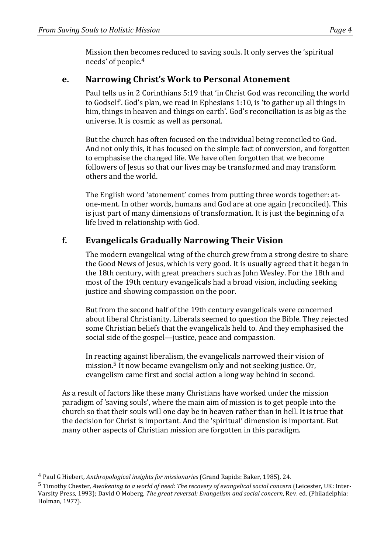Mission then becomes reduced to saving souls. It only serves the 'spiritual needs' of people.<sup>4</sup>

### **e. Narrowing Christ's Work to Personal Atonement**

Paul tells us in 2 Corinthians 5:19 that 'in Christ God was reconciling the world to Godself'. God's plan, we read in Ephesians 1:10, is 'to gather up all things in him, things in heaven and things on earth'. God's reconciliation is as big as the universe. It is cosmic as well as personal.

But the church has often focused on the individual being reconciled to God. And not only this, it has focused on the simple fact of conversion, and forgotten to emphasise the changed life. We have often forgotten that we become followers of Jesus so that our lives may be transformed and may transform others and the world.

The English word 'atonement' comes from putting three words together: atone-ment. In other words, humans and God are at one again (reconciled). This is just part of many dimensions of transformation. It is just the beginning of a life lived in relationship with God.

# **f. Evangelicals Gradually Narrowing Their Vision**

The modern evangelical wing of the church grew from a strong desire to share the Good News of Jesus, which is very good. It is usually agreed that it began in the 18th century, with great preachers such as John Wesley. For the 18th and most of the 19th century evangelicals had a broad vision, including seeking justice and showing compassion on the poor.

But from the second half of the 19th century evangelicals were concerned about liberal Christianity. Liberals seemed to question the Bible. They rejected some Christian beliefs that the evangelicals held to. And they emphasised the social side of the gospel—justice, peace and compassion.

In reacting against liberalism, the evangelicals narrowed their vision of mission.<sup>5</sup> It now became evangelism only and not seeking justice. Or, evangelism came first and social action a long way behind in second.

As a result of factors like these many Christians have worked under the mission paradigm of 'saving souls', where the main aim of mission is to get people into the church so that their souls will one day be in heaven rather than in hell. It is true that the decision for Christ is important. And the 'spiritual' dimension is important. But many other aspects of Christian mission are forgotten in this paradigm.

 

<sup>&</sup>lt;sup>4</sup> Paul G Hiebert, *Anthropological insights for missionaries* (Grand Rapids: Baker, 1985), 24.

<sup>&</sup>lt;sup>5</sup> Timothy Chester, *Awakening to a world of need: The recovery of evangelical social concern* (Leicester, UK: Inter-Varsity Press, 1993); David O Moberg, *The great reversal: Evangelism and social concern*, Rev. ed. (Philadelphia: Holman, 1977).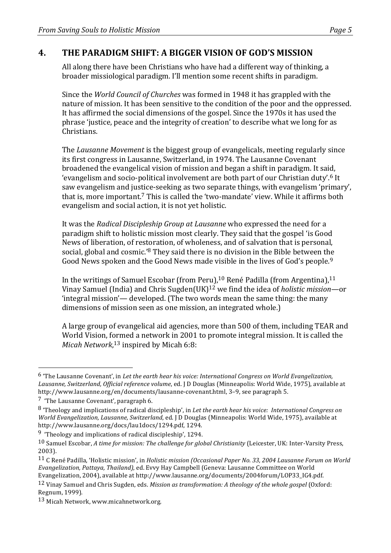# **4. THE PARADIGM SHIFT: A BIGGER VISION OF GOD'S MISSION**

All along there have been Christians who have had a different way of thinking, a broader missiological paradigm. I'll mention some recent shifts in paradigm.

Since the *World Council of Churches* was formed in 1948 it has grappled with the nature of mission. It has been sensitive to the condition of the poor and the oppressed. It has affirmed the social dimensions of the gospel. Since the 1970s it has used the phrase 'justice, peace and the integrity of creation' to describe what we long for as **Christians** 

The *Lausanne Movement* is the biggest group of evangelicals, meeting regularly since its first congress in Lausanne, Switzerland, in 1974. The Lausanne Covenant broadened the evangelical vision of mission and began a shift in paradigm. It said, 'evangelism and socio-political involvement are both part of our Christian duty'.<sup>6</sup> It saw evangelism and justice-seeking as two separate things, with evangelism 'primary', that is, more important.<sup>7</sup> This is called the 'two-mandate' view. While it affirms both evangelism and social action, it is not yet holistic.

It was the *Radical Discipleship Group at Lausanne* who expressed the need for a paradigm shift to holistic mission most clearly. They said that the gospel 'is Good News of liberation, of restoration, of wholeness, and of salvation that is personal, social, global and cosmic.'<sup>8</sup> They said there is no division in the Bible between the Good News spoken and the Good News made visible in the lives of God's people.<sup>9</sup>

In the writings of Samuel Escobar (from Peru),  $10$  René Padilla (from Argentina),  $11$ Vinay Samuel (India) and Chris Sugden(UK)<sup>12</sup> we find the idea of *holistic mission*—or 'integral mission'— developed. (The two words mean the same thing: the many dimensions of mission seen as one mission, an integrated whole.)

A large group of evangelical aid agencies, more than 500 of them, including TEAR and World Vision, formed a network in 2001 to promote integral mission. It is called the Micah Network,<sup>13</sup> inspired by Micah 6:8:

 

<sup>&</sup>lt;sup>6</sup> 'The Lausanne Covenant', in *Let the earth hear his voice: International Congress on World Evangelization,* Lausanne, Switzerland, Official reference volume, ed. J D Douglas (Minneapolis: World Wide, 1975), available at http://www.lausanne.org/en/documents/lausanne-covenant.html, 3-9, see paragraph 5.

 $\frac{7}{7}$  'The Lausanne Covenant', paragraph 6.

<sup>8</sup> Theology and implications of radical discipleship', in *Let the earth hear his voice: International Congress on World Evangelization, Lausanne, Switzerland, ed.* J D Douglas (Minneapolis: World Wide, 1975), available at http://www.lausanne.org/docs/lau1docs/1294.pdf, 1294.

 $9$  'Theology and implications of radical discipleship', 1294.

<sup>10</sup> Samuel Escobar, *A* time for mission: The challenge for global Christianity (Leicester, UK: Inter-Varsity Press, 2003).

<sup>&</sup>lt;sup>11</sup> C René Padilla, 'Holistic mission', in *Holistic mission (Occasional Paper No. 33, 2004 Lausanne Forum on World Evangelization, Pattaya, Thailand)*, ed. Evvy Hay Campbell (Geneva: Lausanne Committee on World Evangelization, 2004), available at http://www.lausanne.org/documents/2004forum/LOP33\_IG4.pdf.

<sup>&</sup>lt;sup>12</sup> Vinay Samuel and Chris Sugden, eds. *Mission as transformation: A theology of the whole gospel* (Oxford: Regnum, 1999).

<sup>13</sup> Micah Network, www.micahnetwork.org.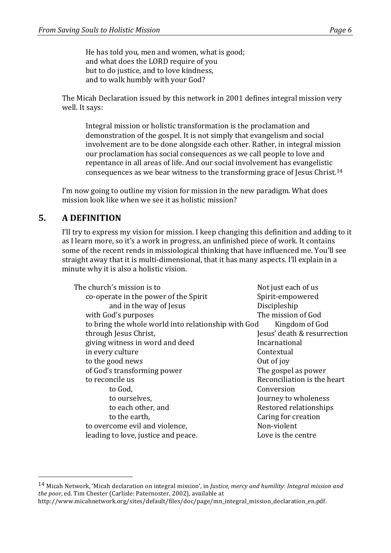He has told you, men and women, what is good; and what does the LORD require of you but to do justice, and to love kindness, and to walk humbly with your God?

The Micah Declaration issued by this network in 2001 defines integral mission very well. It says:

Integral mission or holistic transformation is the proclamation and demonstration of the gospel. It is not simply that evangelism and social involvement are to be done alongside each other. Rather, in integral mission our proclamation has social consequences as we call people to love and repentance in all areas of life. And our social involvement has evangelistic consequences as we bear witness to the transforming grace of Jesus Christ.<sup>14</sup>

I'm now going to outline my vision for mission in the new paradigm. What does mission look like when we see it as holistic mission?

### **5. A DEFINITION**

 

I'll try to express my vision for mission. I keep changing this definition and adding to it as I learn more, so it's a work in progress, an unfinished piece of work. It contains some of the recent rends in missiological thinking that have influenced me. You'll see straight away that it is multi-dimensional, that it has many aspects. I'll explain in a minute why it is also a holistic vision.

| The church's mission is to |                                                     | Not just each of us         |
|----------------------------|-----------------------------------------------------|-----------------------------|
|                            | co-operate in the power of the Spirit               | Spirit-empowered            |
|                            | and in the way of Jesus                             | Discipleship                |
|                            | with God's purposes                                 | The mission of God          |
|                            | to bring the whole world into relationship with God | Kingdom of God              |
|                            | through Jesus Christ,                               | Jesus' death & resurrection |
|                            | giving witness in word and deed                     | Incarnational               |
|                            | in every culture                                    | Contextual                  |
|                            | to the good news                                    | Out of joy                  |
|                            | of God's transforming power                         | The gospel as power         |
|                            | to reconcile us                                     | Reconciliation is the heart |
|                            | to God,                                             | Conversion                  |
|                            | to ourselves,                                       | Journey to wholeness        |
|                            | to each other, and                                  | Restored relationships      |
|                            | to the earth,                                       | Caring for creation         |
|                            | to overcome evil and violence,                      | Non-violent                 |
|                            | leading to love, justice and peace.                 | Love is the centre          |
|                            |                                                     |                             |

<sup>&</sup>lt;sup>14</sup> Micah Network, 'Micah declaration on integral mission', in *Justice, mercy and humility: Integral mission and the poor*, ed. Tim Chester (Carlisle: Paternoster, 2002), available at

http://www.micahnetwork.org/sites/default/files/doc/page/mn\_integral\_mission\_declaration\_en.pdf.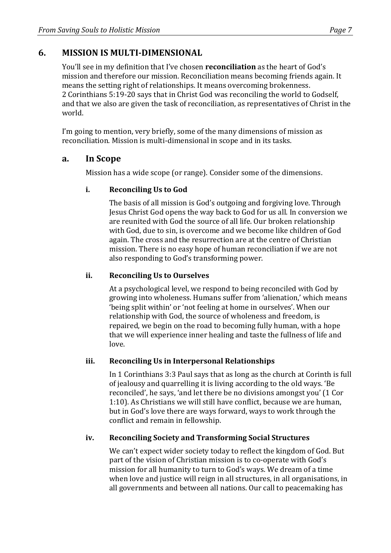# **6. MISSION IS MULTI-DIMENSIONAL**

You'll see in my definition that I've chosen **reconciliation** as the heart of God's mission and therefore our mission. Reconciliation means becoming friends again. It means the setting right of relationships. It means overcoming brokenness. 2 Corinthians 5:19-20 says that in Christ God was reconciling the world to Godself, and that we also are given the task of reconciliation, as representatives of Christ in the world.

I'm going to mention, very briefly, some of the many dimensions of mission as reconciliation. Mission is multi-dimensional in scope and in its tasks.

#### **a. In Scope**

Mission has a wide scope (or range). Consider some of the dimensions.

#### **i.** Reconciling Us to God

The basis of all mission is God's outgoing and forgiving love. Through Jesus Christ God opens the way back to God for us all. In conversion we are reunited with God the source of all life. Our broken relationship with God, due to sin, is overcome and we become like children of God again. The cross and the resurrection are at the centre of Christian mission. There is no easy hope of human reconciliation if we are not also responding to God's transforming power.

#### **ii. Reconciling Us to Ourselves**

At a psychological level, we respond to being reconciled with God by growing into wholeness. Humans suffer from 'alienation,' which means 'being split within' or 'not feeling at home in ourselves'. When our relationship with God, the source of wholeness and freedom, is repaired, we begin on the road to becoming fully human, with a hope that we will experience inner healing and taste the fullness of life and love. 

#### iii. Reconciling Us in Interpersonal Relationships

In 1 Corinthians 3:3 Paul says that as long as the church at Corinth is full of jealousy and quarrelling it is living according to the old ways. 'Be reconciled', he says, 'and let there be no divisions amongst you' (1 Cor 1:10). As Christians we will still have conflict, because we are human, but in God's love there are ways forward, ways to work through the conflict and remain in fellowship.

#### **iv. Reconciling Society and Transforming Social Structures**

We can't expect wider society today to reflect the kingdom of God. But part of the vision of Christian mission is to co-operate with God's mission for all humanity to turn to God's ways. We dream of a time when love and justice will reign in all structures, in all organisations, in all governments and between all nations. Our call to peacemaking has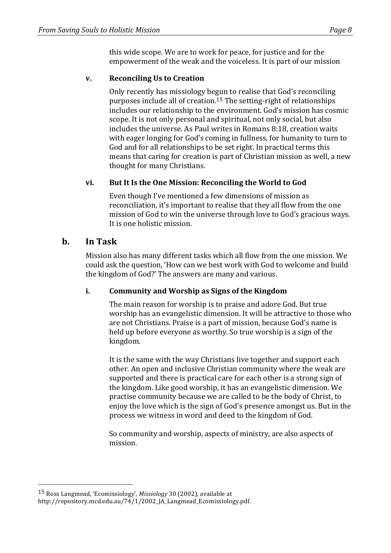this wide scope. We are to work for peace, for justice and for the empowerment of the weak and the voiceless. It is part of our mission

#### **v.** Reconciling Us to Creation

Only recently has missiology begun to realise that God's reconciling purposes include all of creation.<sup>15</sup> The setting-right of relationships includes our relationship to the environment. God's mission has cosmic scope. It is not only personal and spiritual, not only social, but also includes the universe. As Paul writes in Romans 8:18, creation waits with eager longing for God's coming in fullness, for humanity to turn to God and for all relationships to be set right. In practical terms this means that caring for creation is part of Christian mission as well, a new thought for many Christians.

#### vi. But It Is the One Mission: Reconciling the World to God

Even though I've mentioned a few dimensions of mission as reconciliation, it's important to realise that they all flow from the one mission of God to win the universe through love to God's gracious ways. It is one holistic mission.

### **b. In Task**

 

Mission also has many different tasks which all flow from the one mission. We could ask the question, 'How can we best work with God to welcome and build the kingdom of God?' The answers are many and various.

#### **i. Community and Worship as Signs of the Kingdom**

The main reason for worship is to praise and adore God. But true worship has an evangelistic dimension. It will be attractive to those who are not Christians. Praise is a part of mission, because God's name is held up before everyone as worthy. So true worship is a sign of the kingdom.

It is the same with the way Christians live together and support each other. An open and inclusive Christian community where the weak are supported and there is practical care for each other is a strong sign of the kingdom. Like good worship, it has an evangelistic dimension. We practise community because we are called to be the body of Christ, to enjoy the love which is the sign of God's presence amongst us. But in the process we witness in word and deed to the kingdom of God.

So community and worship, aspects of ministry, are also aspects of mission.

<sup>&</sup>lt;sup>15</sup> Ross Langmead, 'Ecomissiology', *Missiology* 30 (2002), available at http://repository.mcd.edu.au/74/1/2002 IA Langmead Ecomissiology.pdf.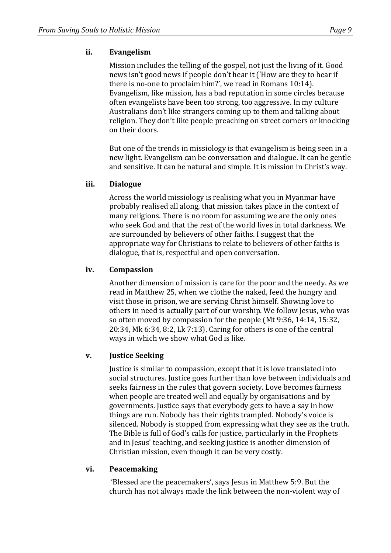#### **ii. Evangelism**

Mission includes the telling of the gospel, not just the living of it. Good news isn't good news if people don't hear it ('How are they to hear if there is no-one to proclaim him?', we read in Romans  $10:14$ ). Evangelism, like mission, has a bad reputation in some circles because often evangelists have been too strong, too aggressive. In my culture Australians don't like strangers coming up to them and talking about religion. They don't like people preaching on street corners or knocking on their doors.

But one of the trends in missiology is that evangelism is being seen in a new light. Evangelism can be conversation and dialogue. It can be gentle and sensitive. It can be natural and simple. It is mission in Christ's way.

#### **iii. Dialogue**

Across the world missiology is realising what you in Myanmar have probably realised all along, that mission takes place in the context of many religions. There is no room for assuming we are the only ones who seek God and that the rest of the world lives in total darkness. We are surrounded by believers of other faiths. I suggest that the appropriate way for Christians to relate to believers of other faiths is dialogue, that is, respectful and open conversation.

#### **iv. Compassion**

Another dimension of mission is care for the poor and the needy. As we read in Matthew 25, when we clothe the naked, feed the hungry and visit those in prison, we are serving Christ himself. Showing love to others in need is actually part of our worship. We follow Jesus, who was so often moved by compassion for the people  $(Mt 9:36, 14:14, 15:32,$  $20:34$ , Mk  $6:34$ ,  $8:2$ , Lk  $7:13$ ). Caring for others is one of the central ways in which we show what God is like.

#### **v. Justice Seeking**

Justice is similar to compassion, except that it is love translated into social structures. Justice goes further than love between individuals and seeks fairness in the rules that govern society. Love becomes fairness when people are treated well and equally by organisations and by governments. Justice says that everybody gets to have a say in how things are run. Nobody has their rights trampled. Nobody's voice is silenced. Nobody is stopped from expressing what they see as the truth. The Bible is full of God's calls for justice, particularly in the Prophets and in Jesus' teaching, and seeking justice is another dimension of Christian mission, even though it can be very costly.

#### **vi. Peacemaking**

'Blessed are the peacemakers', says Jesus in Matthew 5:9. But the church has not always made the link between the non-violent way of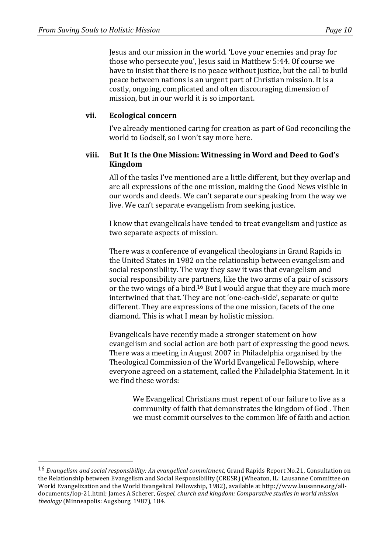Jesus and our mission in the world. 'Love your enemies and pray for those who persecute you', Jesus said in Matthew 5:44. Of course we have to insist that there is no peace without justice, but the call to build peace between nations is an urgent part of Christian mission. It is a costly, ongoing, complicated and often discouraging dimension of mission, but in our world it is so important.

#### **vii. Ecological concern**

I've already mentioned caring for creation as part of God reconciling the world to Godself, so I won't say more here.

#### **viii.** But It Is the One Mission: Witnessing in Word and Deed to God's **Kingdom**

All of the tasks I've mentioned are a little different, but they overlap and are all expressions of the one mission, making the Good News visible in our words and deeds. We can't separate our speaking from the way we live. We can't separate evangelism from seeking justice.

I know that evangelicals have tended to treat evangelism and justice as two separate aspects of mission.

There was a conference of evangelical theologians in Grand Rapids in the United States in 1982 on the relationship between evangelism and social responsibility. The way they saw it was that evangelism and social responsibility are partners, like the two arms of a pair of scissors or the two wings of a bird.<sup>16</sup> But I would argue that they are much more intertwined that that. They are not 'one-each-side', separate or quite different. They are expressions of the one mission, facets of the one diamond. This is what I mean by holistic mission.

Evangelicals have recently made a stronger statement on how evangelism and social action are both part of expressing the good news. There was a meeting in August 2007 in Philadelphia organised by the Theological Commission of the World Evangelical Fellowship, where everyone agreed on a statement, called the Philadelphia Statement. In it we find these words:

We Evangelical Christians must repent of our failure to live as a community of faith that demonstrates the kingdom of God. Then we must commit ourselves to the common life of faith and action

<sup>&</sup>lt;sup>16</sup> *Evangelism and social responsibility: An evangelical commitment*, Grand Rapids Report No.21, Consultation on the Relationship between Evangelism and Social Responsibility (CRESR) (Wheaton, IL: Lausanne Committee on World Evangelization and the World Evangelical Fellowship, 1982), available at http://www.lausanne.org/alldocuments/lop-21.html; James A Scherer, *Gospel, church and kingdom: Comparative studies in world mission theology* (Minneapolis: Augsburg, 1987), 184.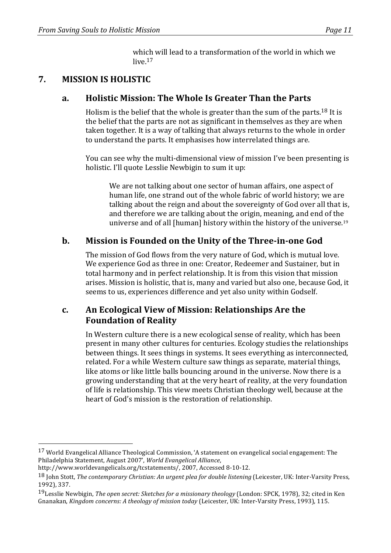which will lead to a transformation of the world in which we  $l$ ive  $17$ 

# **7. MISSION IS HOLISTIC**

### **a. Holistic Mission: The Whole Is Greater Than the Parts**

Holism is the belief that the whole is greater than the sum of the parts.<sup>18</sup> It is the belief that the parts are not as significant in themselves as they are when taken together. It is a way of talking that always returns to the whole in order to understand the parts. It emphasises how interrelated things are.

You can see why the multi-dimensional view of mission I've been presenting is holistic. I'll quote Lesslie Newbigin to sum it up:

We are not talking about one sector of human affairs, one aspect of human life, one strand out of the whole fabric of world history; we are talking about the reign and about the sovereignty of God over all that is, and therefore we are talking about the origin, meaning, and end of the universe and of all [human] history within the history of the universe.<sup>19</sup>

# **b.** Mission is Founded on the Unity of the Three-in-one God

The mission of God flows from the very nature of God, which is mutual love. We experience God as three in one: Creator, Redeemer and Sustainer, but in total harmony and in perfect relationship. It is from this vision that mission arises. Mission is holistic, that is, many and varied but also one, because God, it seems to us, experiences difference and yet also unity within Godself.

### **c. An Ecological View of Mission: Relationships Are the Foundation of Reality**

In Western culture there is a new ecological sense of reality, which has been present in many other cultures for centuries. Ecology studies the relationships between things. It sees things in systems. It sees everything as interconnected, related. For a while Western culture saw things as separate, material things, like atoms or like little balls bouncing around in the universe. Now there is a growing understanding that at the very heart of reality, at the very foundation of life is relationship. This view meets Christian theology well, because at the heart of God's mission is the restoration of relationship.

 

 $17$  World Evangelical Alliance Theological Commission, 'A statement on evangelical social engagement: The Philadelphia Statement, August 2007', *World Evangelical Alliance*, 

http://www.worldevangelicals.org/tcstatements/, 2007, Accessed 8-10-12.

<sup>18</sup> Iohn Stott. The contemporary Christian: An urgent plea for double listening (Leicester, UK: Inter-Varsity Press, 1992), 337.

<sup>&</sup>lt;sup>19</sup>Lesslie Newbigin, *The open secret: Sketches for a missionary theology* (London: SPCK, 1978), 32; cited in Ken Gnanakan, *Kingdom concerns: A theology of mission today* (Leicester, UK: Inter-Varsity Press, 1993), 115.